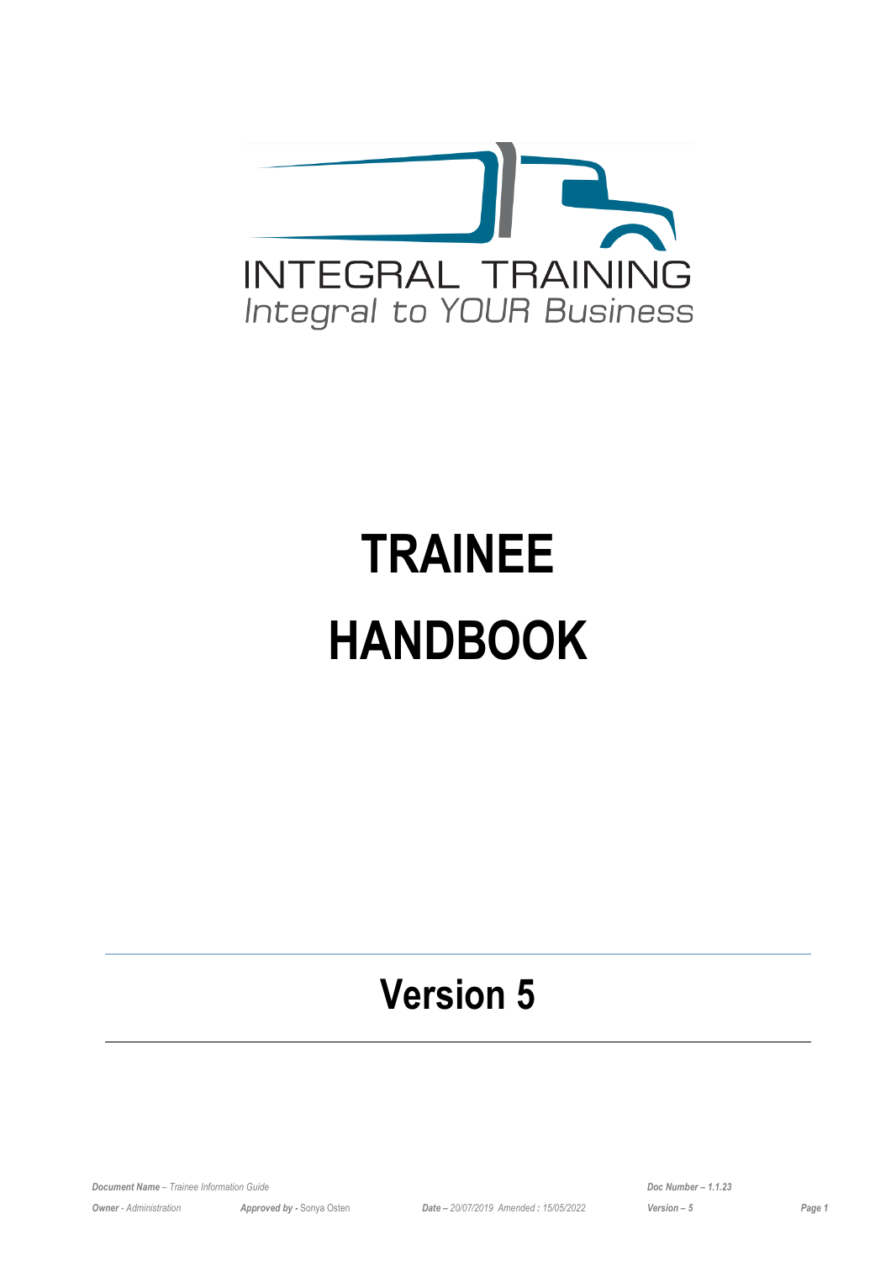

# **TRAINEE HANDBOOK**

# **Version 5**

*Document Name – Trainee Information Guide Doc Number – 1.1.23*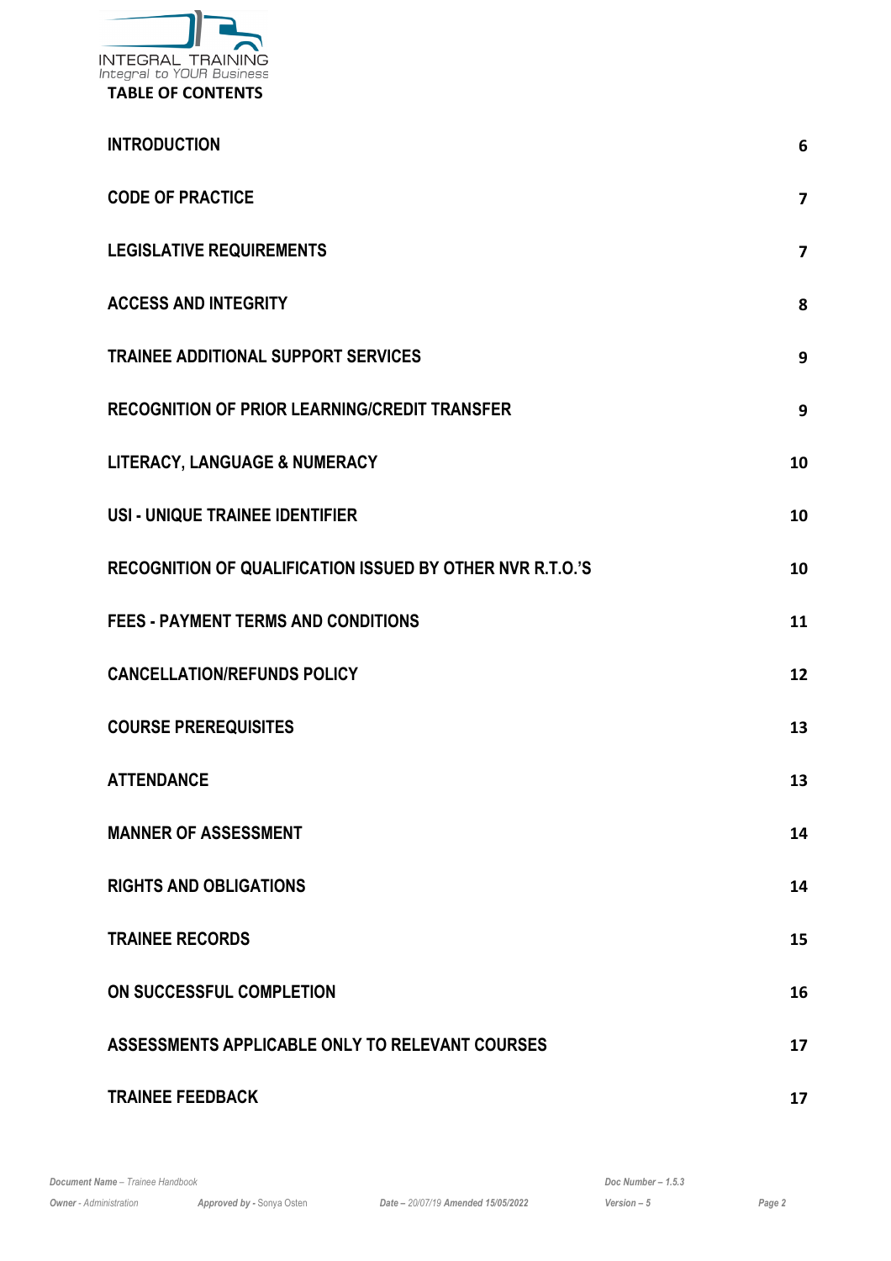

| <b>INTRODUCTION</b>                                       | 6              |
|-----------------------------------------------------------|----------------|
| <b>CODE OF PRACTICE</b>                                   | $\overline{7}$ |
| <b>LEGISLATIVE REQUIREMENTS</b>                           | $\overline{7}$ |
| <b>ACCESS AND INTEGRITY</b>                               | 8              |
| <b>TRAINEE ADDITIONAL SUPPORT SERVICES</b>                | 9              |
| <b>RECOGNITION OF PRIOR LEARNING/CREDIT TRANSFER</b>      | 9              |
| LITERACY, LANGUAGE & NUMERACY                             | 10             |
| USI - UNIQUE TRAINEE IDENTIFIER                           | 10             |
| RECOGNITION OF QUALIFICATION ISSUED BY OTHER NVR R.T.O.'S | 10             |
| <b>FEES - PAYMENT TERMS AND CONDITIONS</b>                | 11             |
| <b>CANCELLATION/REFUNDS POLICY</b>                        | 12             |
| <b>COURSE PREREQUISITES</b>                               | 13             |
| <b>ATTENDANCE</b>                                         | 13             |
| <b>MANNER OF ASSESSMENT</b>                               | 14             |
| <b>RIGHTS AND OBLIGATIONS</b>                             | 14             |
| <b>TRAINEE RECORDS</b>                                    | 15             |
| ON SUCCESSFUL COMPLETION                                  | 16             |
| ASSESSMENTS APPLICABLE ONLY TO RELEVANT COURSES           | 17             |
| <b>TRAINEE FEEDBACK</b>                                   | 17             |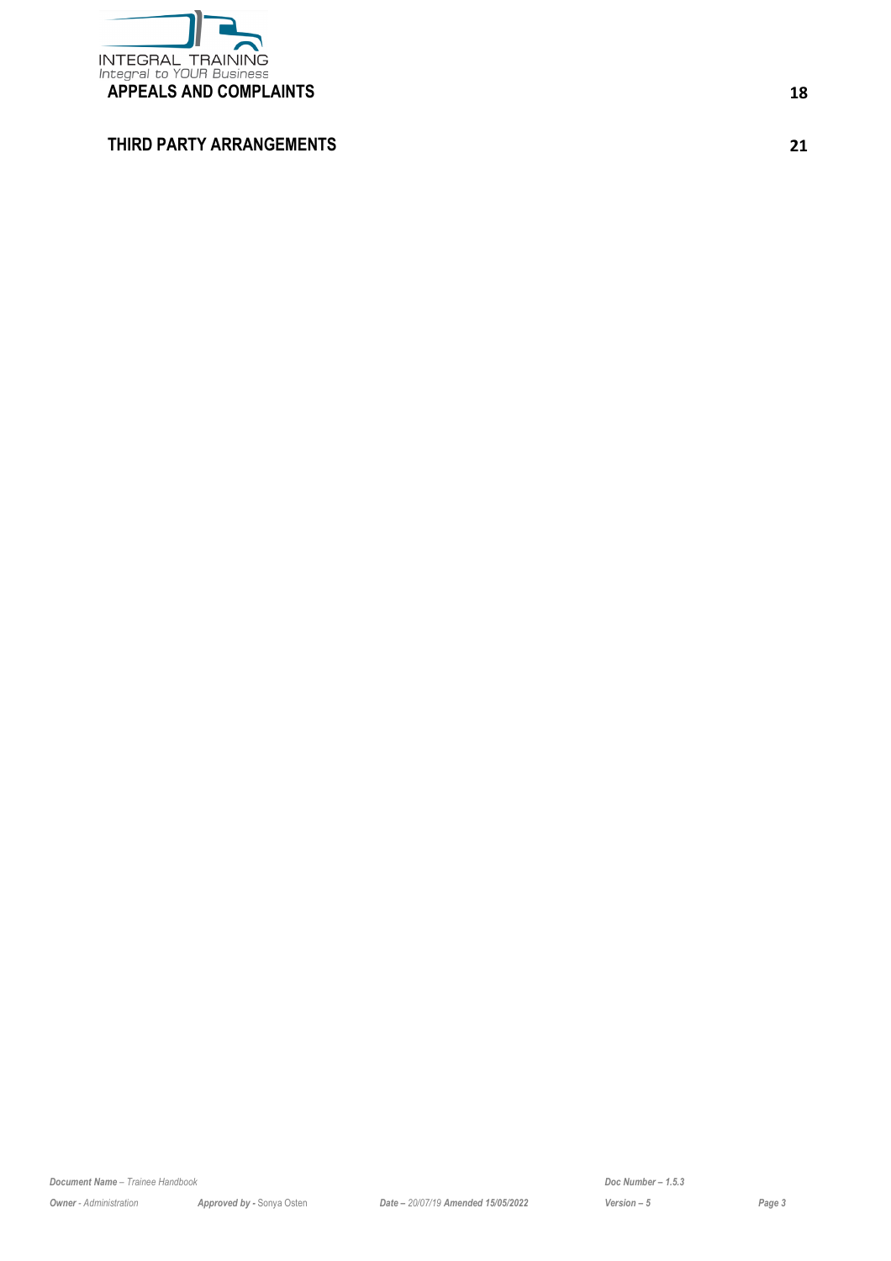

#### **[THIRD PARTY ARRANGEMENTS](#page-20-0) [21](#page-20-0)**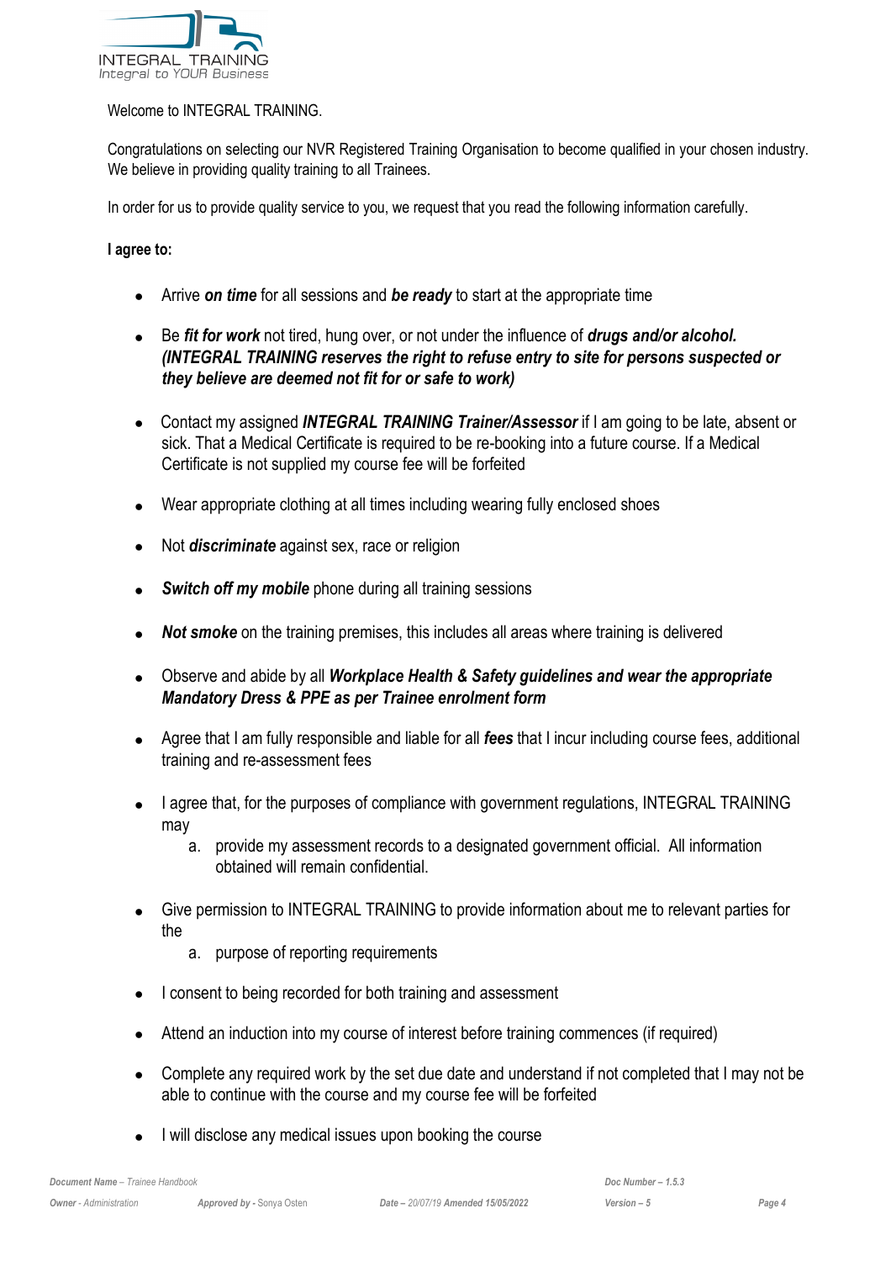

#### Welcome to INTEGRAL TRAINING.

Congratulations on selecting our NVR Registered Training Organisation to become qualified in your chosen industry. We believe in providing quality training to all Trainees.

In order for us to provide quality service to you, we request that you read the following information carefully.

#### **I agree to:**

- Arrive *on time* for all sessions and *be ready* to start at the appropriate time
- Be *fit for work* not tired, hung over, or not under the influence of *drugs and/or alcohol. (INTEGRAL TRAINING reserves the right to refuse entry to site for persons suspected or they believe are deemed not fit for or safe to work)*
- Contact my assigned *INTEGRAL TRAINING Trainer/Assessor* if I am going to be late, absent or sick. That a Medical Certificate is required to be re-booking into a future course. If a Medical Certificate is not supplied my course fee will be forfeited
- Wear appropriate clothing at all times including wearing fully enclosed shoes
- Not *discriminate* against sex, race or religion
- *Switch off my mobile* phone during all training sessions
- *Not smoke* on the training premises, this includes all areas where training is delivered
- Observe and abide by all *Workplace Health & Safety guidelines and wear the appropriate Mandatory Dress & PPE as per Trainee enrolment form*
- Agree that I am fully responsible and liable for all *fees* that I incur including course fees, additional training and re-assessment fees
- I agree that, for the purposes of compliance with government regulations, INTEGRAL TRAINING may
	- a. provide my assessment records to a designated government official. All information obtained will remain confidential.
- Give permission to INTEGRAL TRAINING to provide information about me to relevant parties for the
	- a. purpose of reporting requirements
- I consent to being recorded for both training and assessment
- Attend an induction into my course of interest before training commences (if required)
- Complete any required work by the set due date and understand if not completed that I may not be able to continue with the course and my course fee will be forfeited
- I will disclose any medical issues upon booking the course

*Document Name – Trainee Handbook Doc Number – 1.5.3*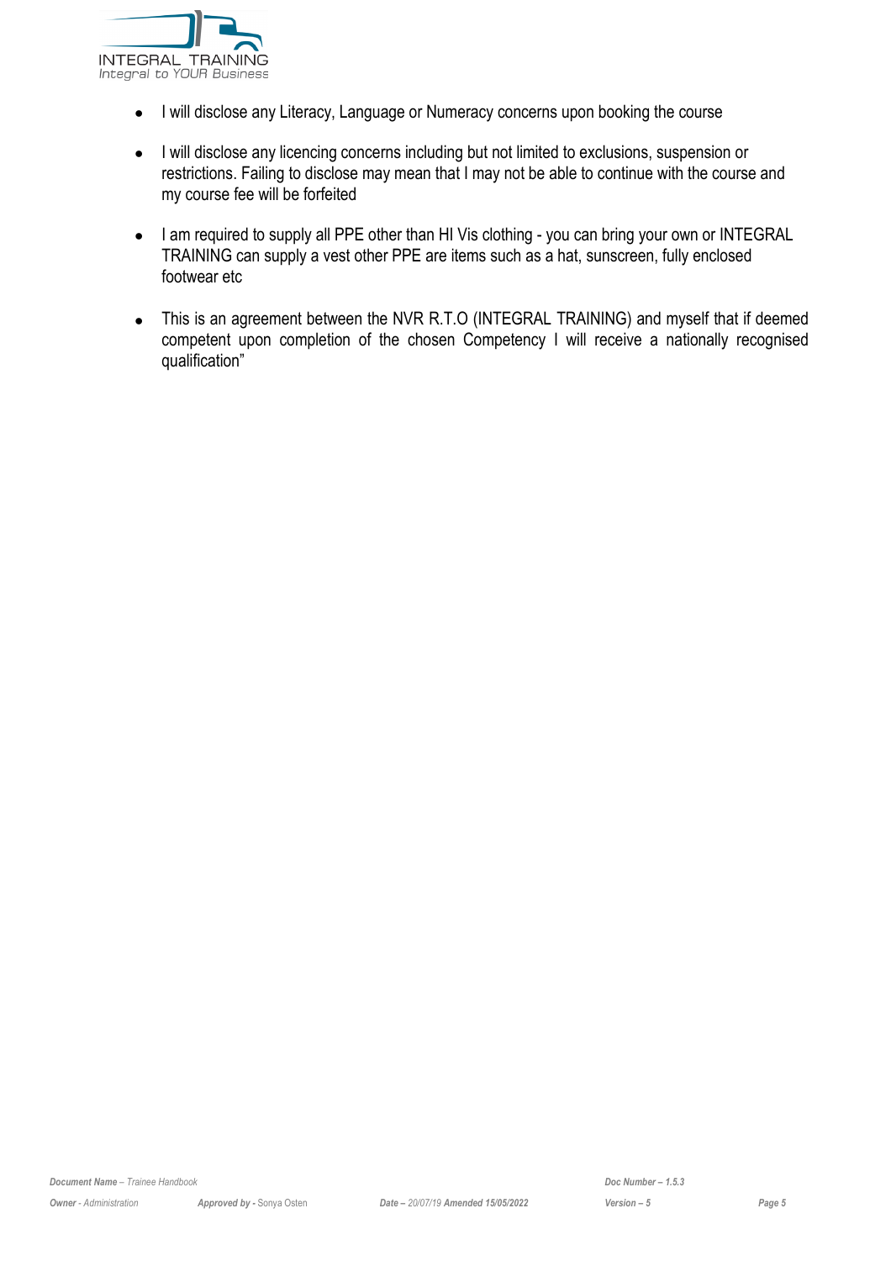

- I will disclose any Literacy, Language or Numeracy concerns upon booking the course
- I will disclose any licencing concerns including but not limited to exclusions, suspension or restrictions. Failing to disclose may mean that I may not be able to continue with the course and my course fee will be forfeited
- I am required to supply all PPE other than HI Vis clothing you can bring your own or INTEGRAL TRAINING can supply a vest other PPE are items such as a hat, sunscreen, fully enclosed footwear etc
- This is an agreement between the NVR R.T.O (INTEGRAL TRAINING) and myself that if deemed competent upon completion of the chosen Competency I will receive a nationally recognised qualification"

*Document Name – Trainee Handbook Doc Number – 1.5.3*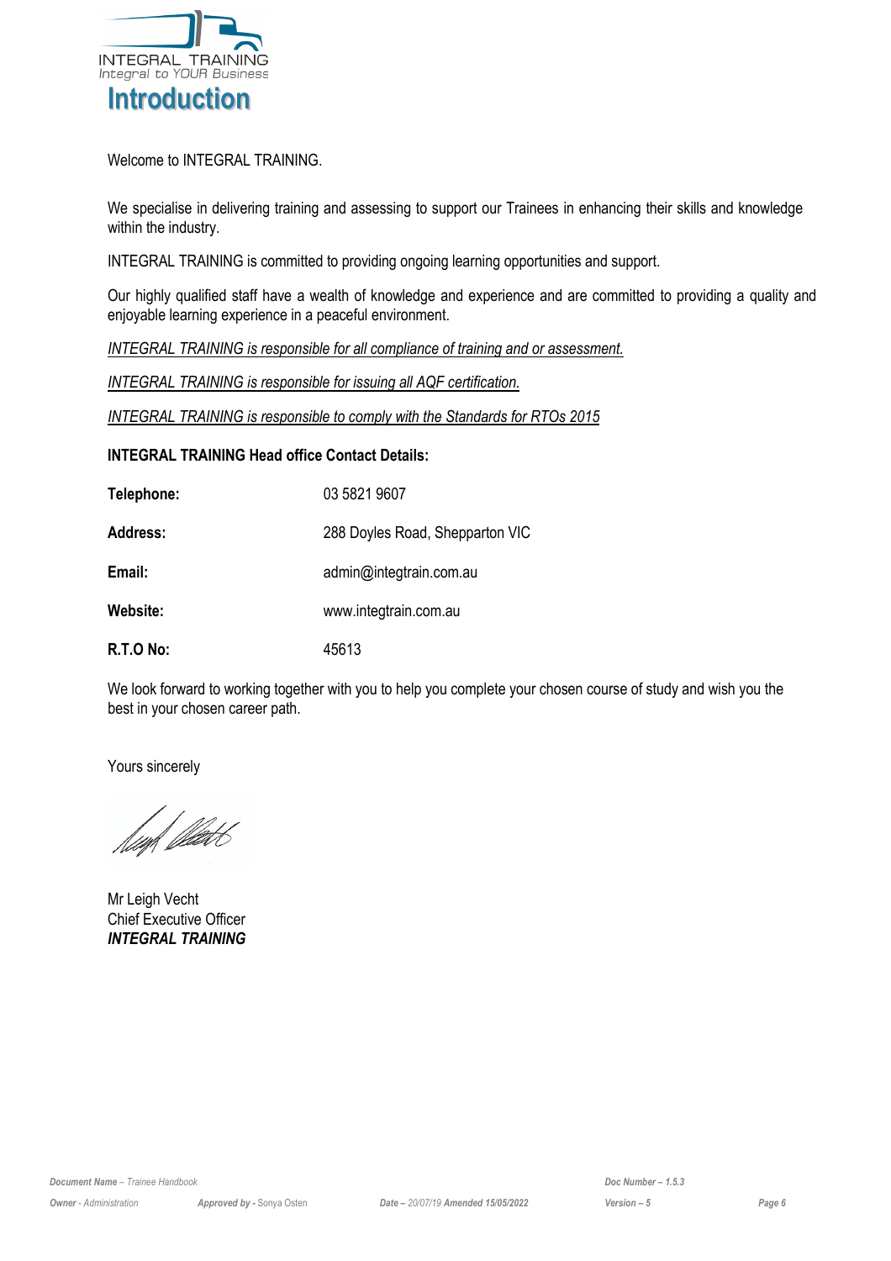

<span id="page-5-0"></span>Welcome to INTEGRAL TRAINING.

We specialise in delivering training and assessing to support our Trainees in enhancing their skills and knowledge within the industry.

INTEGRAL TRAINING is committed to providing ongoing learning opportunities and support.

Our highly qualified staff have a wealth of knowledge and experience and are committed to providing a quality and enjoyable learning experience in a peaceful environment.

*INTEGRAL TRAINING is responsible for all compliance of training and or assessment.*

*INTEGRAL TRAINING is responsible for issuing all AQF certification.*

*INTEGRAL TRAINING is responsible to comply with the Standards for RTOs 2015*

#### **INTEGRAL TRAINING Head office Contact Details:**

| Telephone:      | 03 5821 9607                    |
|-----------------|---------------------------------|
| <b>Address:</b> | 288 Doyles Road, Shepparton VIC |
| Email:          | admin@integtrain.com.au         |
| Website:        | www.integtrain.com.au           |
| R.T.O No:       | 45613                           |

We look forward to working together with you to help you complete your chosen course of study and wish you the best in your chosen career path.

Yours sincerely

lmf *fle*det

Mr Leigh Vecht Chief Executive Officer *INTEGRAL TRAINING*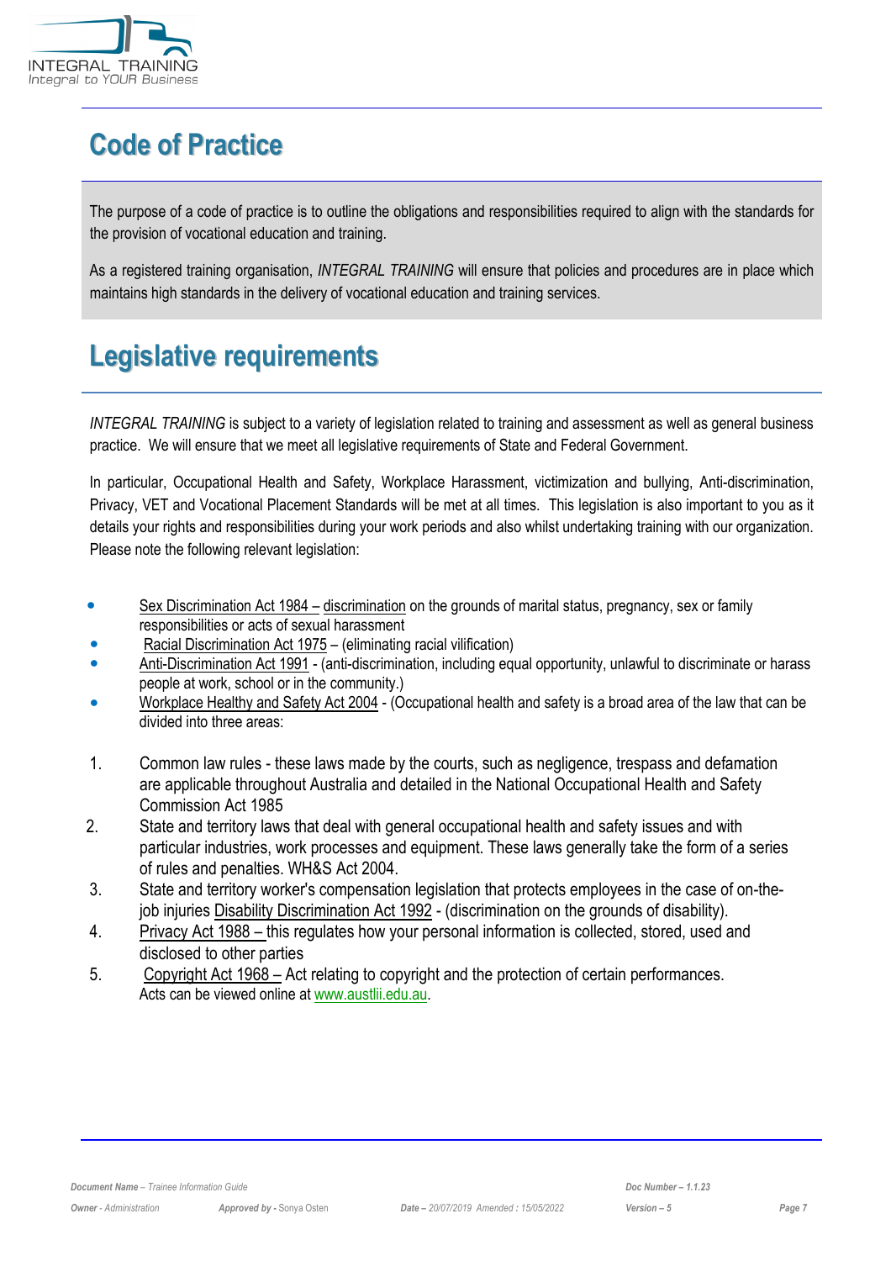

# <span id="page-6-0"></span>**Code of Practice**

The purpose of a code of practice is to outline the obligations and responsibilities required to align with the standards for the provision of vocational education and training.

As a registered training organisation, *INTEGRAL TRAINING* will ensure that policies and procedures are in place which maintains high standards in the delivery of vocational education and training services.

# <span id="page-6-1"></span>**Legislative requirements**

*INTEGRAL TRAINING* is subject to a variety of legislation related to training and assessment as well as general business practice. We will ensure that we meet all legislative requirements of State and Federal Government.

In particular, Occupational Health and Safety, Workplace Harassment, victimization and bullying, Anti-discrimination, Privacy, VET and Vocational Placement Standards will be met at all times. This legislation is also important to you as it details your rights and responsibilities during your work periods and also whilst undertaking training with our organization. Please note the following relevant legislation:

- Sex Discrimination Act 1984 discrimination on the grounds of marital status, pregnancy, sex or family responsibilities or acts of sexual harassment
- Racial Discrimination Act 1975 (eliminating racial vilification)
- Anti-Discrimination Act 1991 (anti-discrimination, including equal opportunity, unlawful to discriminate or harass people at work, school or in the community.)
- Workplace Healthy and Safety Act 2004 (Occupational health and safety is a broad area of the law that can be divided into three areas:
- 1. Common law rules these laws made by the courts, such as negligence, trespass and defamation are applicable throughout Australia and detailed in the National Occupational Health and Safety Commission Act 1985
- 2. State and territory laws that deal with general occupational health and safety issues and with particular industries, work processes and equipment. These laws generally take the form of a series of rules and penalties. WH&S Act 2004.
- 3. State and territory worker's compensation legislation that protects employees in the case of on-thejob injuries Disability Discrimination Act 1992 - (discrimination on the grounds of disability).
- 4. Privacy Act 1988 this regulates how your personal information is collected, stored, used and disclosed to other parties
- 5. Copyright Act 1968 Act relating to copyright and the protection of certain performances. Acts can be viewed online at [www.austlii.edu.au.](http://www.austlii.edu.au/)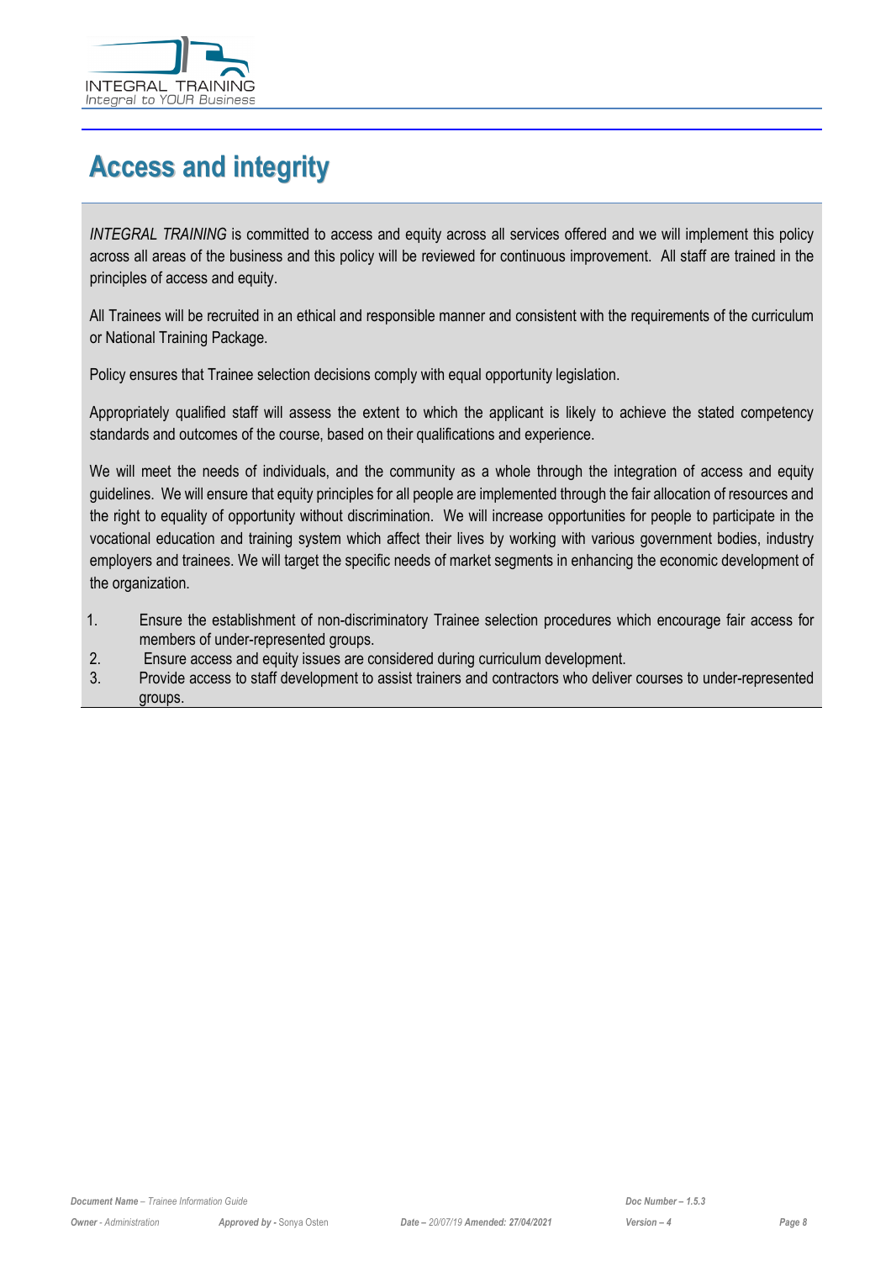

# <span id="page-7-0"></span>**Access and integrity**

*INTEGRAL TRAINING* is committed to access and equity across all services offered and we will implement this policy across all areas of the business and this policy will be reviewed for continuous improvement. All staff are trained in the principles of access and equity.

All Trainees will be recruited in an ethical and responsible manner and consistent with the requirements of the curriculum or National Training Package.

Policy ensures that Trainee selection decisions comply with equal opportunity legislation.

Appropriately qualified staff will assess the extent to which the applicant is likely to achieve the stated competency standards and outcomes of the course, based on their qualifications and experience.

We will meet the needs of individuals, and the community as a whole through the integration of access and equity guidelines. We will ensure that equity principles for all people are implemented through the fair allocation of resources and the right to equality of opportunity without discrimination. We will increase opportunities for people to participate in the vocational education and training system which affect their lives by working with various government bodies, industry employers and trainees. We will target the specific needs of market segments in enhancing the economic development of the organization.

- 1. Ensure the establishment of non-discriminatory Trainee selection procedures which encourage fair access for members of under-represented groups.
- 2. Ensure access and equity issues are considered during curriculum development.
- 3. Provide access to staff development to assist trainers and contractors who deliver courses to under-represented groups.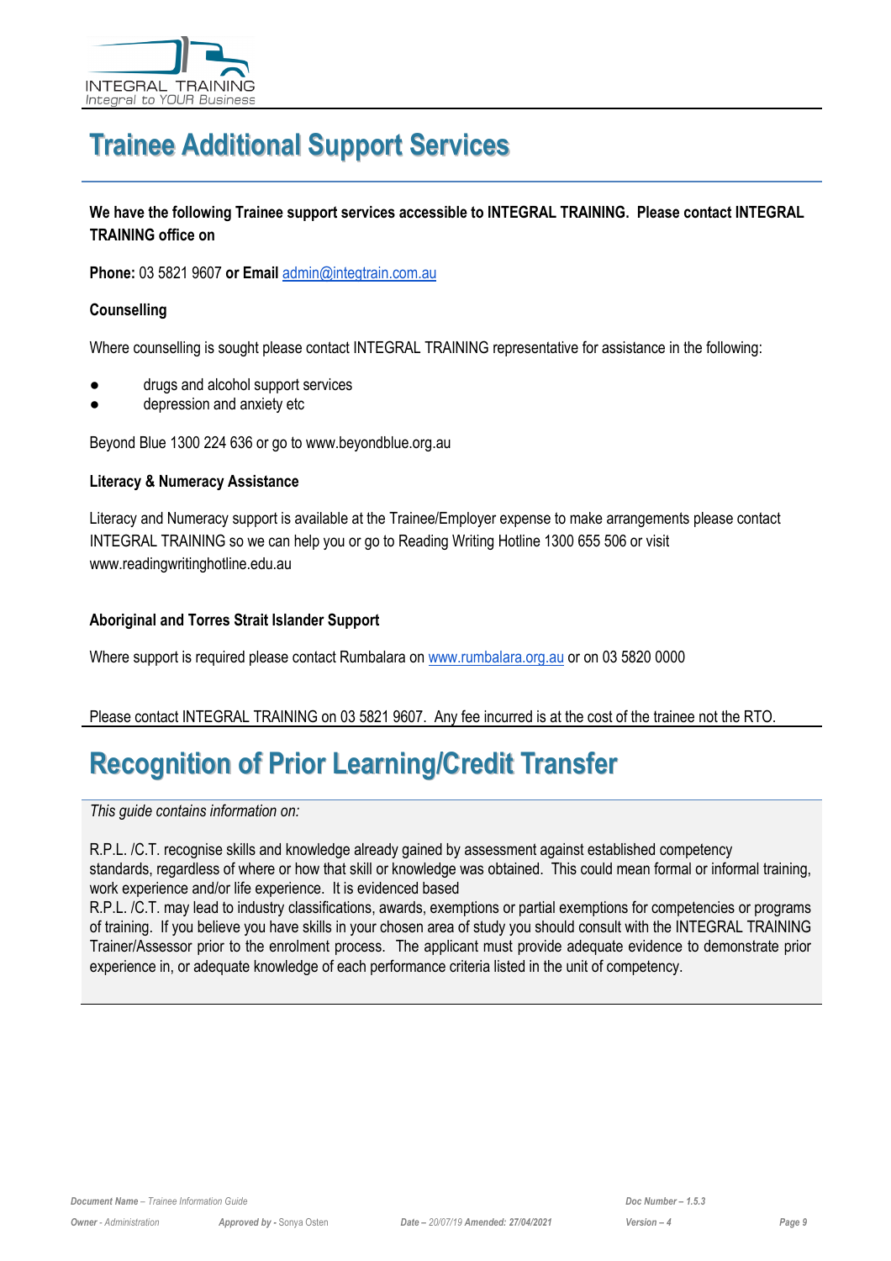

# <span id="page-8-0"></span>**Trainee Additional Support Services**

**We have the following Trainee support services accessible to INTEGRAL TRAINING. Please contact INTEGRAL TRAINING office on** 

**Phone:** 03 5821 9607 **or Email** [admin@integtrain.com.au](mailto:admin@integtrain.com.au)

#### **Counselling**

Where counselling is sought please contact INTEGRAL TRAINING representative for assistance in the following:

- drugs and alcohol support services
- depression and anxiety etc

Beyond Blue 1300 224 636 or go to www.beyondblue.org.au

#### **Literacy & Numeracy Assistance**

Literacy and Numeracy support is available at the Trainee/Employer expense to make arrangements please contact INTEGRAL TRAINING so we can help you or go to Reading Writing Hotline 1300 655 506 or visit www.readingwritinghotline.edu.au

#### **Aboriginal and Torres Strait Islander Support**

Where support is required please contact Rumbalara on [www.rumbalara.org.au](http://www.rumbalara.com.au/) or on 03 5820 0000

#### Please contact INTEGRAL TRAINING on 03 5821 9607. Any fee incurred is at the cost of the trainee not the RTO.

# <span id="page-8-1"></span>**Recognition of Prior Learning/Credit Transfer**

*This guide contains information on:* 

R.P.L. /C.T. recognise skills and knowledge already gained by assessment against established competency standards, regardless of where or how that skill or knowledge was obtained. This could mean formal or informal training, work experience and/or life experience. It is evidenced based

R.P.L. /C.T. may lead to industry classifications, awards, exemptions or partial exemptions for competencies or programs of training. If you believe you have skills in your chosen area of study you should consult with the INTEGRAL TRAINING Trainer/Assessor prior to the enrolment process. The applicant must provide adequate evidence to demonstrate prior experience in, or adequate knowledge of each performance criteria listed in the unit of competency.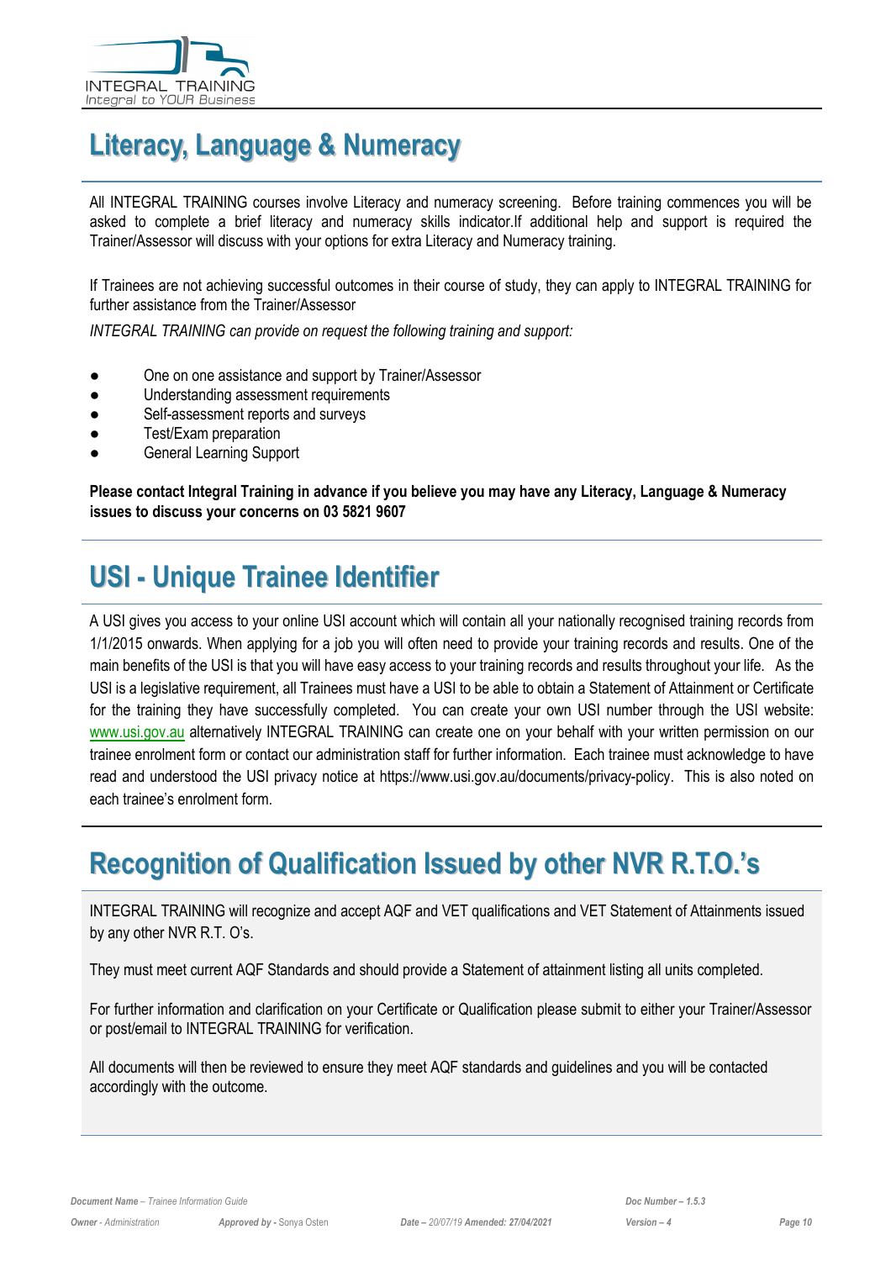

# <span id="page-9-0"></span>**Literacy, Language & Numeracy**

All INTEGRAL TRAINING courses involve Literacy and numeracy screening. Before training commences you will be asked to complete a brief literacy and numeracy skills indicator.If additional help and support is required the Trainer/Assessor will discuss with your options for extra Literacy and Numeracy training.

If Trainees are not achieving successful outcomes in their course of study, they can apply to INTEGRAL TRAINING for further assistance from the Trainer/Assessor

*INTEGRAL TRAINING can provide on request the following training and support:*

- One on one assistance and support by Trainer/Assessor
- Understanding assessment requirements
- Self-assessment reports and surveys
- Test/Exam preparation
- General Learning Support

**Please contact Integral Training in advance if you believe you may have any Literacy, Language & Numeracy issues to discuss your concerns on 03 5821 9607** 

# <span id="page-9-1"></span>**USI - Unique Trainee Identifier**

A USI gives you access to your online USI account which will contain all your nationally recognised training records from 1/1/2015 onwards. When applying for a job you will often need to provide your training records and results. One of the main benefits of the USI is that you will have easy access to your training records and results throughout your life. As the USI is a legislative requirement, all Trainees must have a USI to be able to obtain a Statement of Attainment or Certificate for the training they have successfully completed. You can create your own USI number through the USI website: [www.usi.gov.au](http://usi.gov.au/Pages/default.aspx) alternatively INTEGRAL TRAINING can create one on your behalf with your written permission on our trainee enrolment form or contact our administration staff for further information. Each trainee must acknowledge to have read and understood the USI privacy notice at https://www.usi.gov.au/documents/privacy-policy. This is also noted on each trainee's enrolment form.

# <span id="page-9-2"></span>**Recognition of Qualification Issued by other NVR R.T.O.'s**

INTEGRAL TRAINING will recognize and accept AQF and VET qualifications and VET Statement of Attainments issued by any other NVR R.T. O's.

They must meet current AQF Standards and should provide a Statement of attainment listing all units completed.

For further information and clarification on your Certificate or Qualification please submit to either your Trainer/Assessor or post/email to INTEGRAL TRAINING for verification.

All documents will then be reviewed to ensure they meet AQF standards and guidelines and you will be contacted accordingly with the outcome.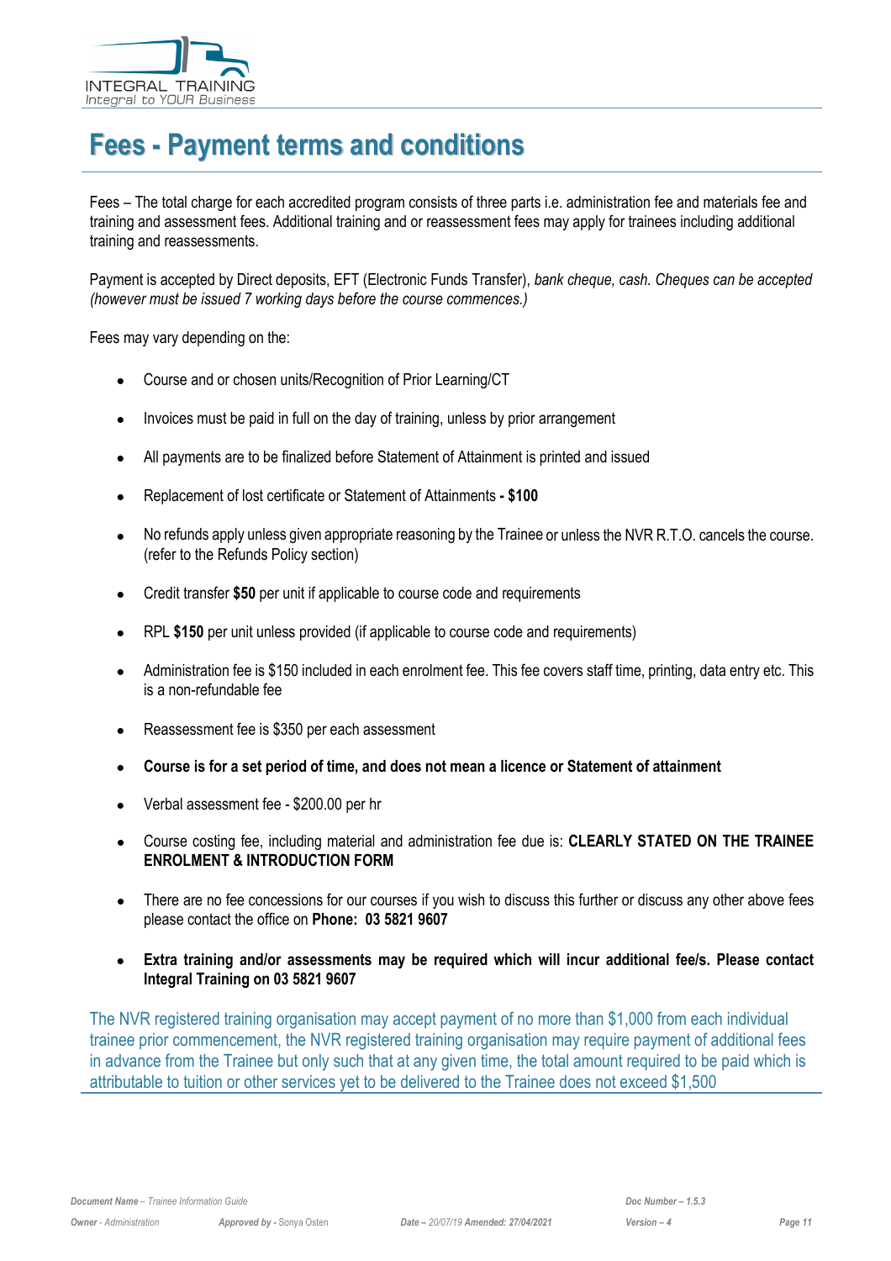

# <span id="page-10-0"></span>**Fees - Payment terms and conditions**

Fees – The total charge for each accredited program consists of three parts i.e. administration fee and materials fee and training and assessment fees. Additional training and or reassessment fees may apply for trainees including additional training and reassessments.

Payment is accepted by Direct deposits, EFT (Electronic Funds Transfer), *bank cheque, cash. Cheques can be accepted (however must be issued 7 working days before the course commences.)*

Fees may vary depending on the:

- Course and or chosen units/Recognition of Prior Learning/CT
- Invoices must be paid in full on the day of training, unless by prior arrangement
- All payments are to be finalized before Statement of Attainment is printed and issued
- Replacement of lost certificate or Statement of Attainments **- \$100**
- No refunds apply unless given appropriate reasoning by the Trainee or unless the NVR R.T.O. cancels the course. (refer to the Refunds Policy section)
- Credit transfer **\$50** per unit if applicable to course code and requirements
- RPL **\$150** per unit unless provided (if applicable to course code and requirements)
- Administration fee is \$150 included in each enrolment fee. This fee covers staff time, printing, data entry etc. This is a non-refundable fee
- Reassessment fee is \$350 per each assessment
- **Course is for a set period of time, and does not mean a licence or Statement of attainment**
- Verbal assessment fee \$200.00 per hr
- Course costing fee, including material and administration fee due is: **CLEARLY STATED ON THE TRAINEE ENROLMENT & INTRODUCTION FORM**
- There are no fee concessions for our courses if you wish to discuss this further or discuss any other above fees please contact the office on **Phone: 03 5821 9607**
- **Extra training and/or assessments may be required which will incur additional fee/s. Please contact Integral Training on 03 5821 9607**

The NVR registered training organisation may accept payment of no more than \$1,000 from each individual trainee prior commencement, the NVR registered training organisation may require payment of additional fees in advance from the Trainee but only such that at any given time, the total amount required to be paid which is attributable to tuition or other services yet to be delivered to the Trainee does not exceed \$1,500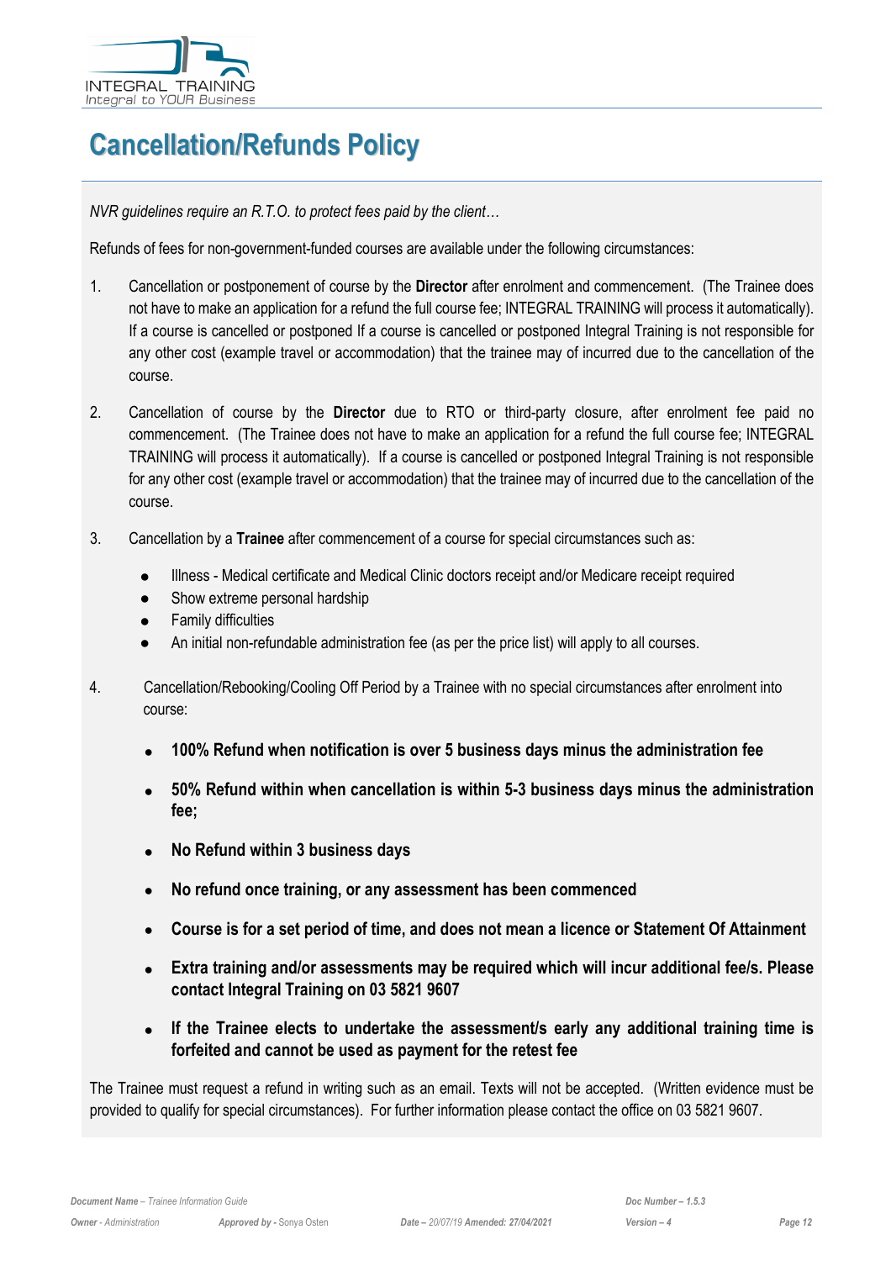

# <span id="page-11-0"></span>**Cancellation/Refunds Policy**

*NVR guidelines require an R.T.O. to protect fees paid by the client…* 

Refunds of fees for non-government-funded courses are available under the following circumstances:

- 1. Cancellation or postponement of course by the **Director** after enrolment and commencement. (The Trainee does not have to make an application for a refund the full course fee; INTEGRAL TRAINING will process it automatically). If a course is cancelled or postponed If a course is cancelled or postponed Integral Training is not responsible for any other cost (example travel or accommodation) that the trainee may of incurred due to the cancellation of the course.
- 2. Cancellation of course by the **Director** due to RTO or third-party closure, after enrolment fee paid no commencement. (The Trainee does not have to make an application for a refund the full course fee; INTEGRAL TRAINING will process it automatically). If a course is cancelled or postponed Integral Training is not responsible for any other cost (example travel or accommodation) that the trainee may of incurred due to the cancellation of the course.
- 3. Cancellation by a **Trainee** after commencement of a course for special circumstances such as:
	- Illness Medical certificate and Medical Clinic doctors receipt and/or Medicare receipt required
	- Show extreme personal hardship
	- Family difficulties
	- An initial non-refundable administration fee (as per the price list) will apply to all courses.
- 4. Cancellation/Rebooking/Cooling Off Period by a Trainee with no special circumstances after enrolment into course:
	- **100% Refund when notification is over 5 business days minus the administration fee**
	- **50% Refund within when cancellation is within 5-3 business days minus the administration fee;**
	- **No Refund within 3 business days**
	- **No refund once training, or any assessment has been commenced**
	- **Course is for a set period of time, and does not mean a licence or Statement Of Attainment**
	- **Extra training and/or assessments may be required which will incur additional fee/s. Please contact Integral Training on 03 5821 9607**
	- **If the Trainee elects to undertake the assessment/s early any additional training time is forfeited and cannot be used as payment for the retest fee**

The Trainee must request a refund in writing such as an email. Texts will not be accepted. (Written evidence must be provided to qualify for special circumstances). For further information please contact the office on 03 5821 9607.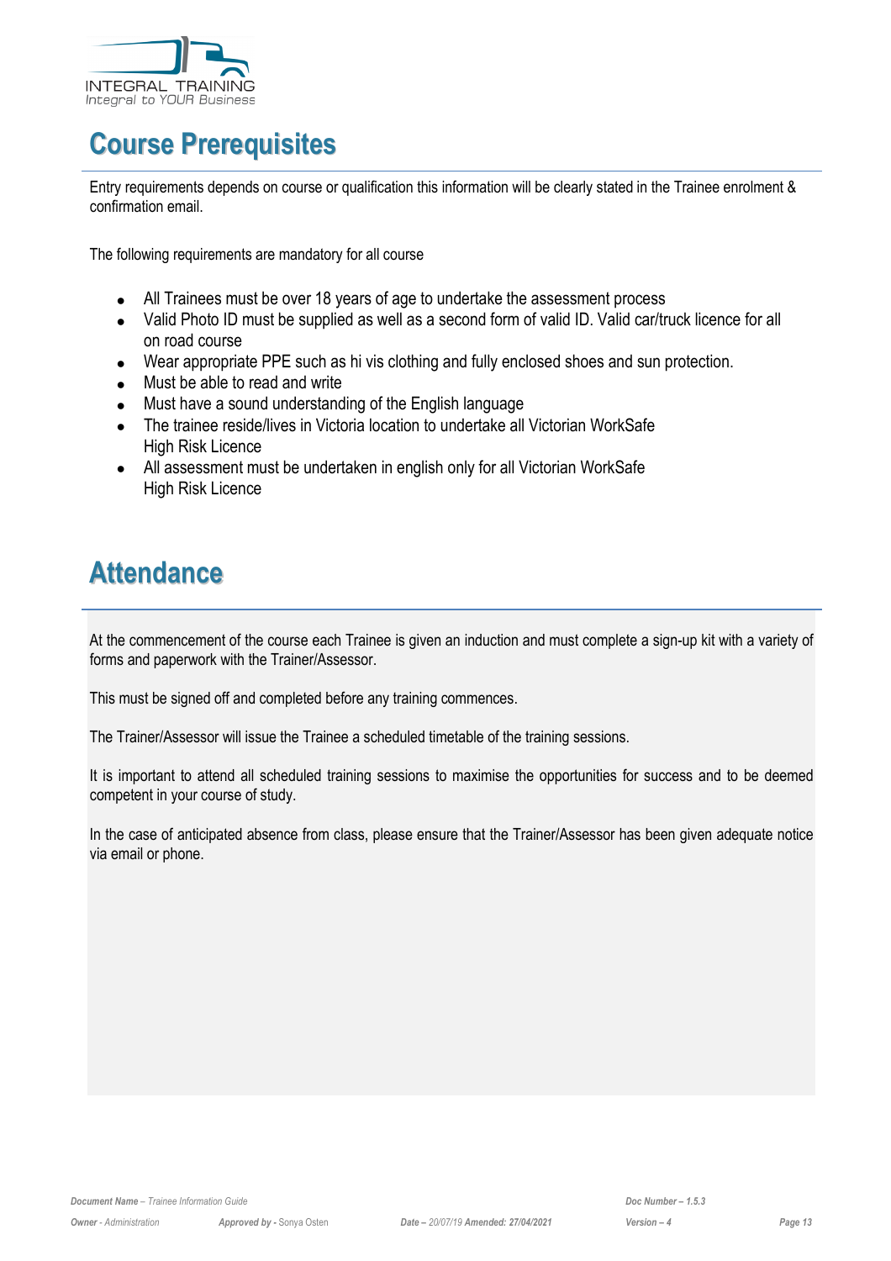

# <span id="page-12-0"></span>**Course Prerequisites**

Entry requirements depends on course or qualification this information will be clearly stated in the Trainee enrolment & confirmation email.

The following requirements are mandatory for all course

- All Trainees must be over 18 years of age to undertake the assessment process
- Valid Photo ID must be supplied as well as a second form of valid ID. Valid car/truck licence for all on road course
- Wear appropriate PPE such as hi vis clothing and fully enclosed shoes and sun protection.
- Must be able to read and write
- Must have a sound understanding of the English language
- The trainee reside/lives in Victoria location to undertake all Victorian WorkSafe High Risk Licence
- All assessment must be undertaken in english only for all Victorian WorkSafe High Risk Licence

# <span id="page-12-1"></span>**Attendance**

At the commencement of the course each Trainee is given an induction and must complete a sign-up kit with a variety of forms and paperwork with the Trainer/Assessor.

This must be signed off and completed before any training commences.

The Trainer/Assessor will issue the Trainee a scheduled timetable of the training sessions.

It is important to attend all scheduled training sessions to maximise the opportunities for success and to be deemed competent in your course of study.

In the case of anticipated absence from class, please ensure that the Trainer/Assessor has been given adequate notice via email or phone.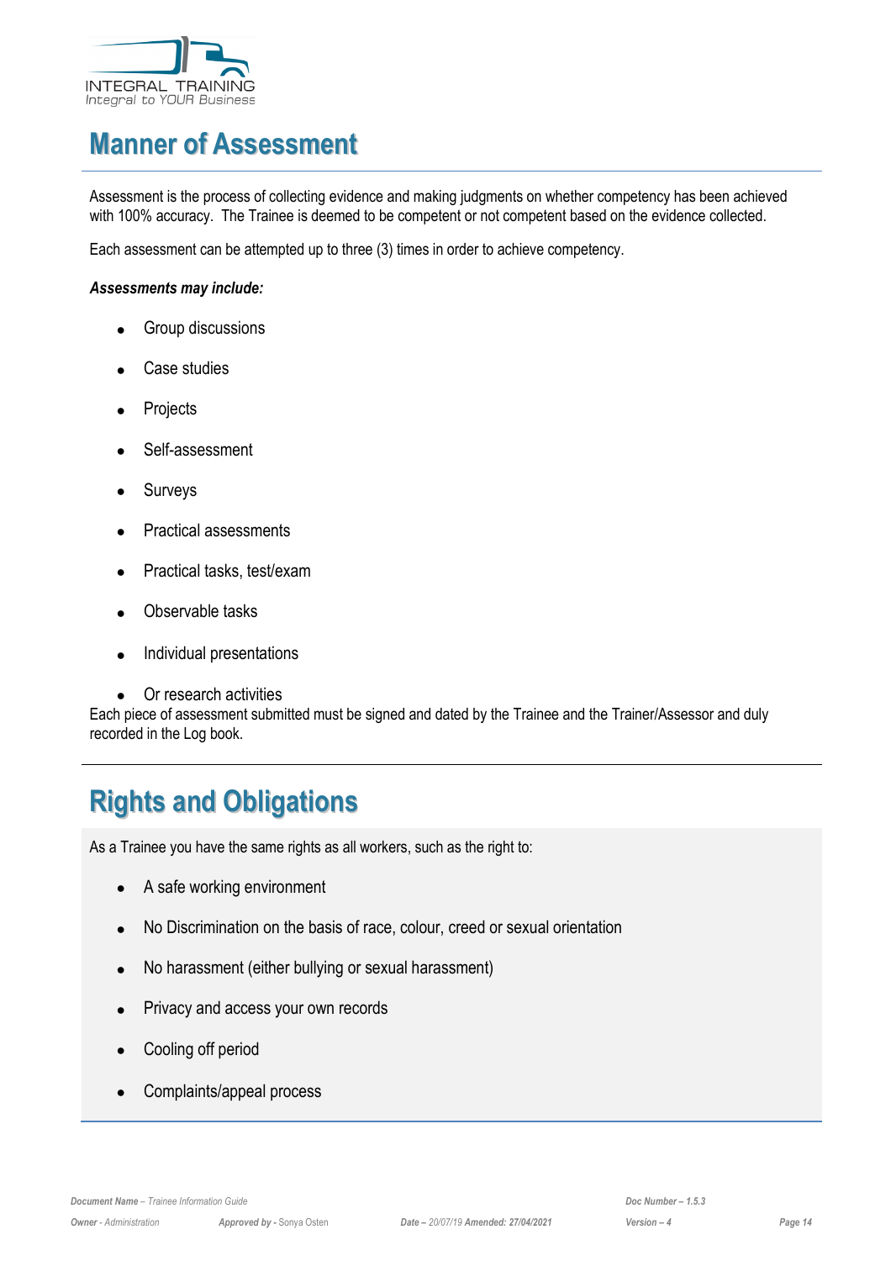

# <span id="page-13-0"></span>**Manner of Assessment**

Assessment is the process of collecting evidence and making judgments on whether competency has been achieved with 100% accuracy. The Trainee is deemed to be competent or not competent based on the evidence collected.

Each assessment can be attempted up to three (3) times in order to achieve competency.

#### *Assessments may include:*

- Group discussions
- Case studies
- **Projects**
- Self-assessment
- **Surveys**
- Practical assessments
- Practical tasks, test/exam
- Observable tasks
- Individual presentations
- Or research activities

Each piece of assessment submitted must be signed and dated by the Trainee and the Trainer/Assessor and duly recorded in the Log book.

# <span id="page-13-1"></span>**Rights and Obligations**

As a Trainee you have the same rights as all workers, such as the right to:

- A safe working environment
- No Discrimination on the basis of race, colour, creed or sexual orientation
- No harassment (either bullying or sexual harassment)
- Privacy and access your own records
- Cooling off period
- Complaints/appeal process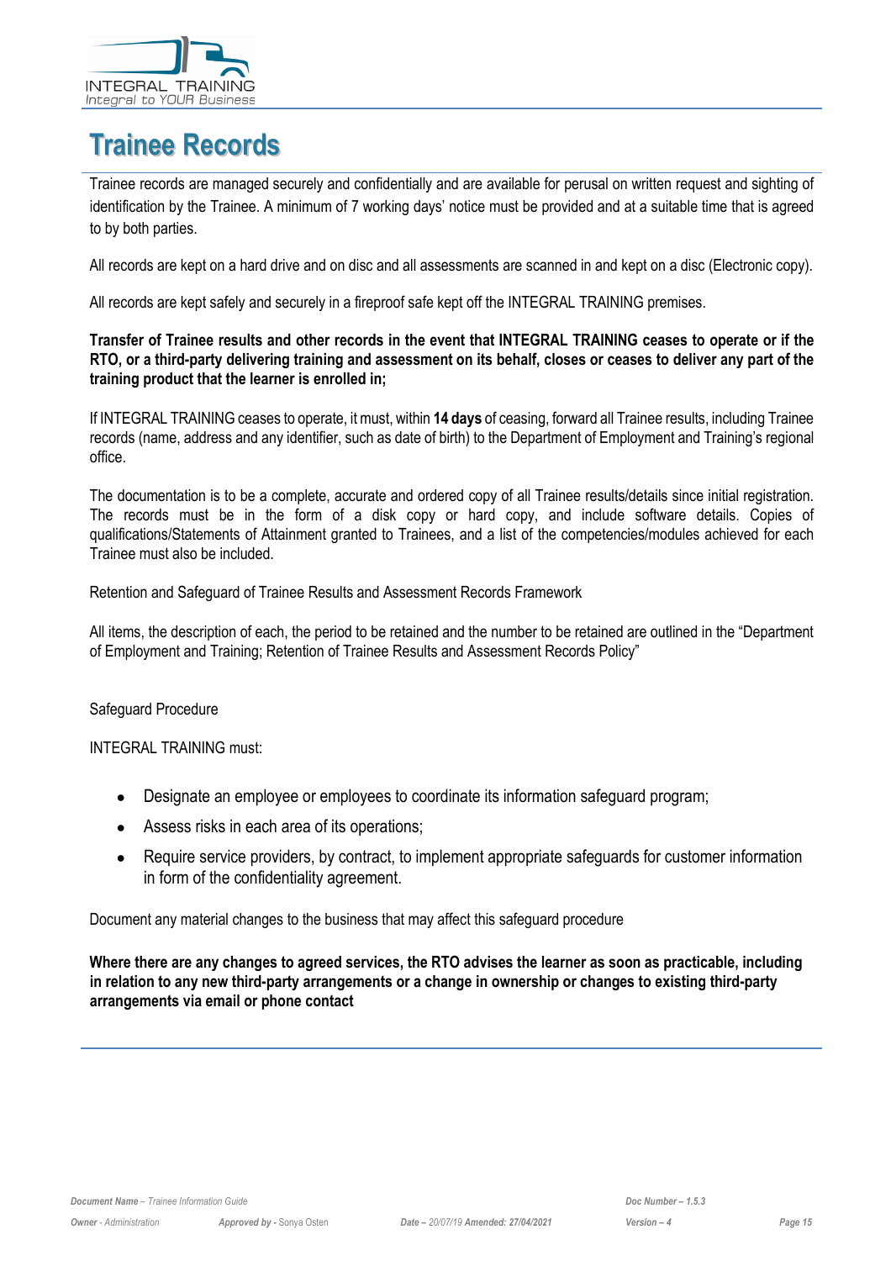

# <span id="page-14-0"></span>**Trainee Records**

Trainee records are managed securely and confidentially and are available for perusal on written request and sighting of identification by the Trainee. A minimum of 7 working days' notice must be provided and at a suitable time that is agreed to by both parties.

All records are kept on a hard drive and on disc and all assessments are scanned in and kept on a disc (Electronic copy).

All records are kept safely and securely in a fireproof safe kept off the INTEGRAL TRAINING premises.

#### **Transfer of Trainee results and other records in the event that INTEGRAL TRAINING ceases to operate or if the RTO, or a third-party delivering training and assessment on its behalf, closes or ceases to deliver any part of the training product that the learner is enrolled in;**

If INTEGRAL TRAINING ceases to operate, it must, within **14 days** of ceasing, forward all Trainee results, including Trainee records (name, address and any identifier, such as date of birth) to the Department of Employment and Training's regional office.

The documentation is to be a complete, accurate and ordered copy of all Trainee results/details since initial registration. The records must be in the form of a disk copy or hard copy, and include software details. Copies of qualifications/Statements of Attainment granted to Trainees, and a list of the competencies/modules achieved for each Trainee must also be included.

Retention and Safeguard of Trainee Results and Assessment Records Framework

All items, the description of each, the period to be retained and the number to be retained are outlined in the "Department of Employment and Training; Retention of Trainee Results and Assessment Records Policy"

#### Safeguard Procedure

INTEGRAL TRAINING must:

- Designate an employee or employees to coordinate its information safeguard program;
- Assess risks in each area of its operations;
- Require service providers, by contract, to implement appropriate safeguards for customer information in form of the confidentiality agreement.

Document any material changes to the business that may affect this safeguard procedure

**Where there are any changes to agreed services, the RTO advises the learner as soon as practicable, including in relation to any new third-party arrangements or a change in ownership or changes to existing third-party arrangements via email or phone contact**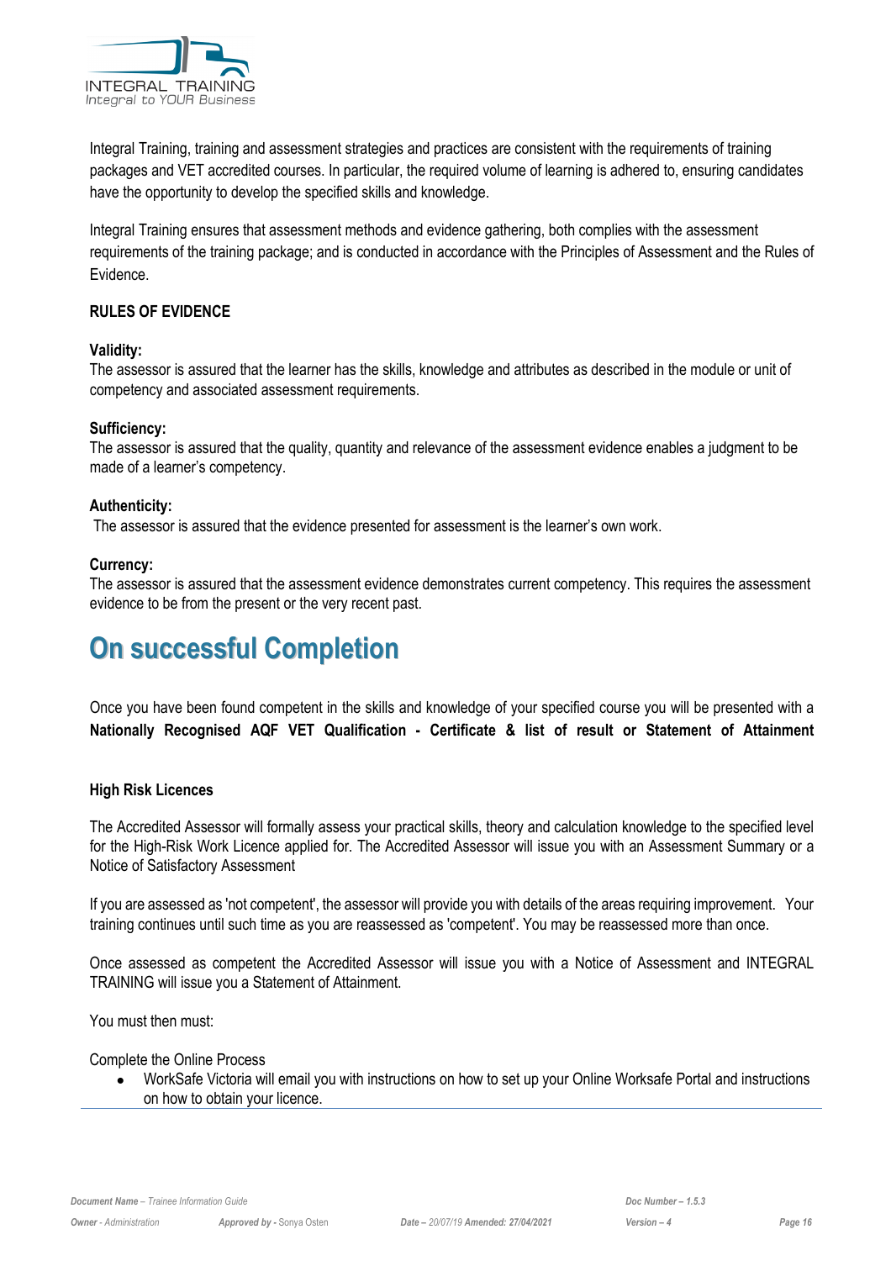

Integral Training, training and assessment strategies and practices are consistent with the requirements of training packages and VET accredited courses. In particular, the required volume of learning is adhered to, ensuring candidates have the opportunity to develop the specified skills and knowledge.

Integral Training ensures that assessment methods and evidence gathering, both complies with the assessment requirements of the training package; and is conducted in accordance with the Principles of Assessment and the Rules of Evidence.

#### **RULES OF EVIDENCE**

#### **Validity:**

The assessor is assured that the learner has the skills, knowledge and attributes as described in the module or unit of competency and associated assessment requirements.

#### **Sufficiency:**

The assessor is assured that the quality, quantity and relevance of the assessment evidence enables a judgment to be made of a learner's competency.

#### **Authenticity:**

The assessor is assured that the evidence presented for assessment is the learner's own work.

#### **Currency:**

The assessor is assured that the assessment evidence demonstrates current competency. This requires the assessment evidence to be from the present or the very recent past.

# <span id="page-15-0"></span>**On successful Completion**

Once you have been found competent in the skills and knowledge of your specified course you will be presented with a **Nationally Recognised AQF VET Qualification - Certificate & list of result or Statement of Attainment**

#### **High Risk Licences**

The Accredited Assessor will formally assess your practical skills, theory and calculation knowledge to the specified level for the High-Risk Work Licence applied for. The Accredited Assessor will issue you with an Assessment Summary or a Notice of Satisfactory Assessment

If you are assessed as 'not competent', the assessor will provide you with details of the areas requiring improvement. Your training continues until such time as you are reassessed as 'competent'. You may be reassessed more than once.

Once assessed as competent the Accredited Assessor will issue you with a Notice of Assessment and INTEGRAL TRAINING will issue you a Statement of Attainment.

You must then must:

Complete the Online Process

• WorkSafe Victoria will email you with instructions on how to set up your Online Worksafe Portal and instructions on how to obtain your licence.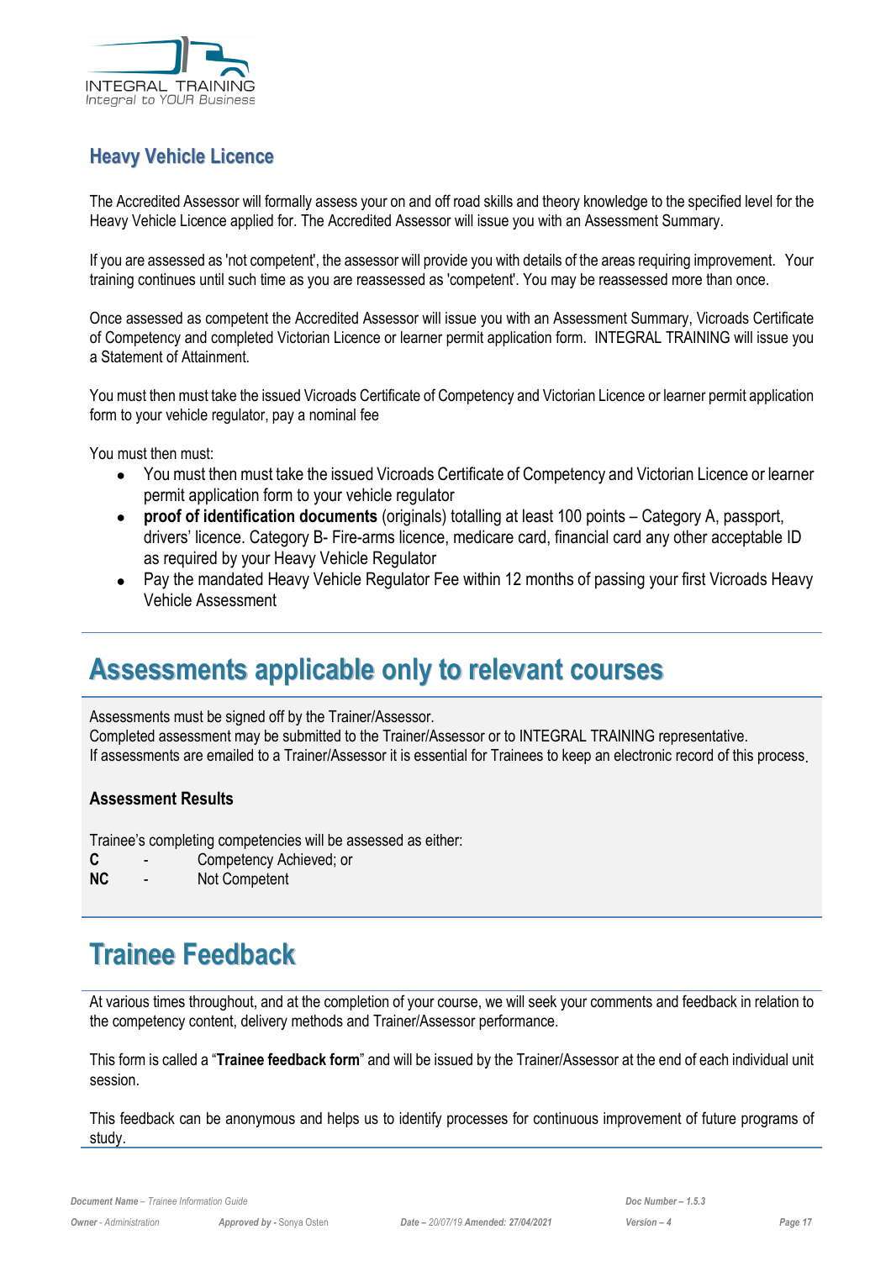

#### **Heavy Vehicle Licence**

The Accredited Assessor will formally assess your on and off road skills and theory knowledge to the specified level for the Heavy Vehicle Licence applied for. The Accredited Assessor will issue you with an Assessment Summary.

If you are assessed as 'not competent', the assessor will provide you with details of the areas requiring improvement. Your training continues until such time as you are reassessed as 'competent'. You may be reassessed more than once.

Once assessed as competent the Accredited Assessor will issue you with an Assessment Summary, Vicroads Certificate of Competency and completed Victorian Licence or learner permit application form. INTEGRAL TRAINING will issue you a Statement of Attainment.

You must then must take the issued Vicroads Certificate of Competency and Victorian Licence or learner permit application form to your vehicle regulator, pay a nominal fee

You must then must:

- You must then must take the issued Vicroads Certificate of Competency and Victorian Licence or learner permit application form to your vehicle regulator
- **proof of identification documents** (originals) totalling at least 100 points Category A, passport, drivers' licence. Category B- Fire-arms licence, medicare card, financial card any other acceptable ID as required by your Heavy Vehicle Regulator
- Pay the mandated Heavy Vehicle Regulator Fee within 12 months of passing your first Vicroads Heavy Vehicle Assessment

### <span id="page-16-0"></span>**Assessments applicable only to relevant courses**

Assessments must be signed off by the Trainer/Assessor.

Completed assessment may be submitted to the Trainer/Assessor or to INTEGRAL TRAINING representative. If assessments are emailed to a Trainer/Assessor it is essential for Trainees to keep an electronic record of this process.

#### **Assessment Results**

Trainee's completing competencies will be assessed as either:

- **C** Competency Achieved; or
- **NC** Not Competent

# <span id="page-16-1"></span>**Trainee Feedback**

At various times throughout, and at the completion of your course, we will seek your comments and feedback in relation to the competency content, delivery methods and Trainer/Assessor performance.

This form is called a "**Trainee feedback form**" and will be issued by the Trainer/Assessor at the end of each individual unit session.

This feedback can be anonymous and helps us to identify processes for continuous improvement of future programs of study.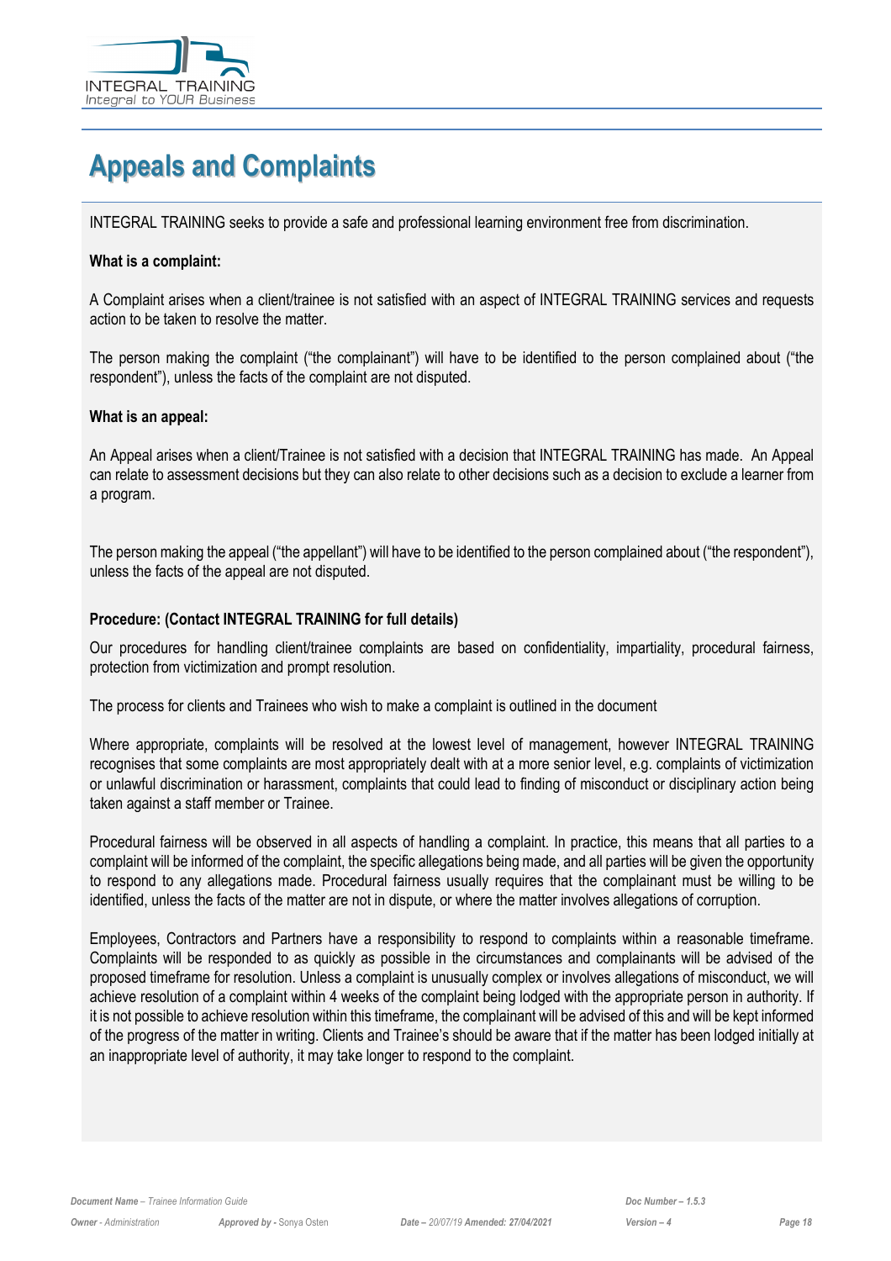

# <span id="page-17-0"></span>**Appeals and Complaints**

INTEGRAL TRAINING seeks to provide a safe and professional learning environment free from discrimination.

#### **What is a complaint:**

A Complaint arises when a client/trainee is not satisfied with an aspect of INTEGRAL TRAINING services and requests action to be taken to resolve the matter.

The person making the complaint ("the complainant") will have to be identified to the person complained about ("the respondent"), unless the facts of the complaint are not disputed.

#### **What is an appeal:**

An Appeal arises when a client/Trainee is not satisfied with a decision that INTEGRAL TRAINING has made. An Appeal can relate to assessment decisions but they can also relate to other decisions such as a decision to exclude a learner from a program.

The person making the appeal ("the appellant") will have to be identified to the person complained about ("the respondent"), unless the facts of the appeal are not disputed.

#### **Procedure: (Contact INTEGRAL TRAINING for full details)**

Our procedures for handling client/trainee complaints are based on confidentiality, impartiality, procedural fairness, protection from victimization and prompt resolution.

The process for clients and Trainees who wish to make a complaint is outlined in the document

Where appropriate, complaints will be resolved at the lowest level of management, however INTEGRAL TRAINING recognises that some complaints are most appropriately dealt with at a more senior level, e.g. complaints of victimization or unlawful discrimination or harassment, complaints that could lead to finding of misconduct or disciplinary action being taken against a staff member or Trainee.

Procedural fairness will be observed in all aspects of handling a complaint. In practice, this means that all parties to a complaint will be informed of the complaint, the specific allegations being made, and all parties will be given the opportunity to respond to any allegations made. Procedural fairness usually requires that the complainant must be willing to be identified, unless the facts of the matter are not in dispute, or where the matter involves allegations of corruption.

Employees, Contractors and Partners have a responsibility to respond to complaints within a reasonable timeframe. Complaints will be responded to as quickly as possible in the circumstances and complainants will be advised of the proposed timeframe for resolution. Unless a complaint is unusually complex or involves allegations of misconduct, we will achieve resolution of a complaint within 4 weeks of the complaint being lodged with the appropriate person in authority. If it is not possible to achieve resolution within this timeframe, the complainant will be advised of this and will be kept informed of the progress of the matter in writing. Clients and Trainee's should be aware that if the matter has been lodged initially at an inappropriate level of authority, it may take longer to respond to the complaint.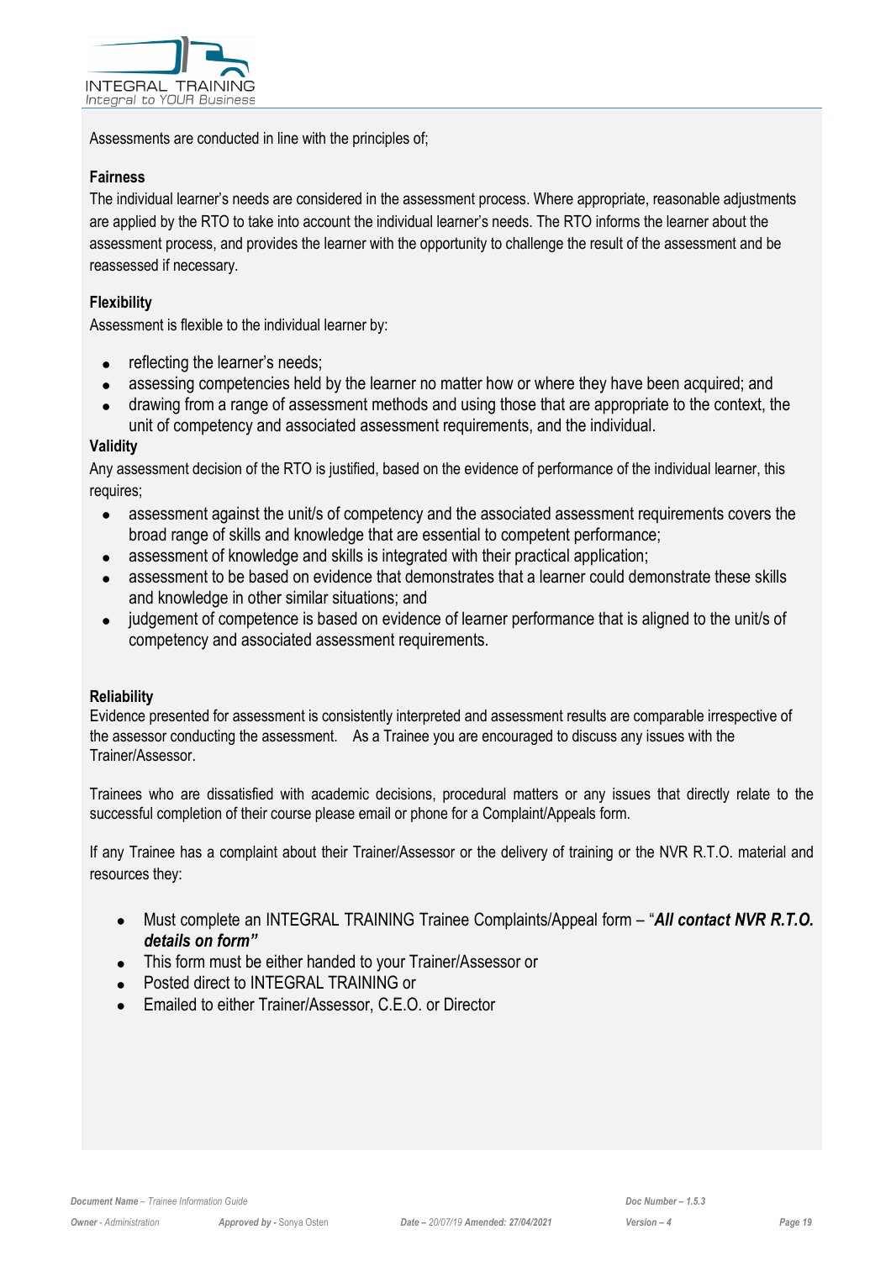

Assessments are conducted in line with the principles of;

#### **Fairness**

The individual learner's needs are considered in the assessment process. Where appropriate, reasonable adjustments are applied by the RTO to take into account the individual learner's needs. The RTO informs the learner about the assessment process, and provides the learner with the opportunity to challenge the result of the assessment and be reassessed if necessary.

#### **Flexibility**

Assessment is flexible to the individual learner by:

- reflecting the learner's needs;
- assessing competencies held by the learner no matter how or where they have been acquired; and
- drawing from a range of assessment methods and using those that are appropriate to the context, the unit of competency and associated assessment requirements, and the individual.

#### **Validity**

Any assessment decision of the RTO is justified, based on the evidence of performance of the individual learner, this requires;

- assessment against the unit/s of competency and the associated assessment requirements covers the broad range of skills and knowledge that are essential to competent performance;
- assessment of knowledge and skills is integrated with their practical application;
- assessment to be based on evidence that demonstrates that a learner could demonstrate these skills and knowledge in other similar situations; and
- judgement of competence is based on evidence of learner performance that is aligned to the unit/s of competency and associated assessment requirements.

#### **Reliability**

Evidence presented for assessment is consistently interpreted and assessment results are comparable irrespective of the assessor conducting the assessment. As a Trainee you are encouraged to discuss any issues with the Trainer/Assessor.

Trainees who are dissatisfied with academic decisions, procedural matters or any issues that directly relate to the successful completion of their course please email or phone for a Complaint/Appeals form.

If any Trainee has a complaint about their Trainer/Assessor or the delivery of training or the NVR R.T.O. material and resources they:

- Must complete an INTEGRAL TRAINING Trainee Complaints/Appeal form "*All contact NVR R.T.O. details on form"*
- This form must be either handed to your Trainer/Assessor or
- Posted direct to INTEGRAL TRAINING or
- Emailed to either Trainer/Assessor, C.E.O. or Director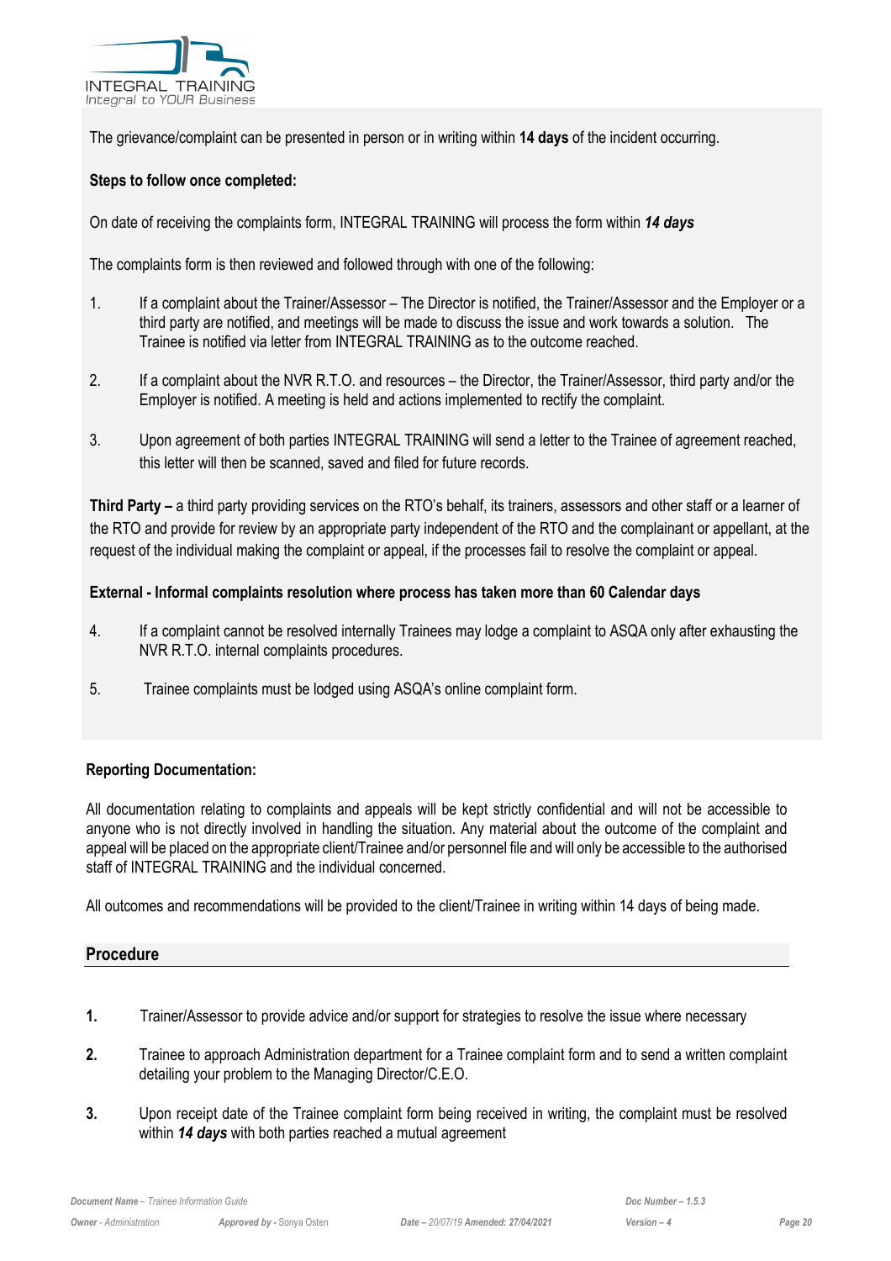

The grievance/complaint can be presented in person or in writing within **14 days** of the incident occurring.

#### **Steps to follow once completed:**

On date of receiving the complaints form, INTEGRAL TRAINING will process the form within *14 days*

The complaints form is then reviewed and followed through with one of the following:

- 1. If a complaint about the Trainer/Assessor The Director is notified, the Trainer/Assessor and the Employer or a third party are notified, and meetings will be made to discuss the issue and work towards a solution. The Trainee is notified via letter from INTEGRAL TRAINING as to the outcome reached.
- 2. If a complaint about the NVR R.T.O. and resources the Director, the Trainer/Assessor, third party and/or the Employer is notified. A meeting is held and actions implemented to rectify the complaint.
- 3. Upon agreement of both parties INTEGRAL TRAINING will send a letter to the Trainee of agreement reached, this letter will then be scanned, saved and filed for future records.

**Third Party –** a third party providing services on the RTO's behalf, its trainers, assessors and other staff or a learner of the RTO and provide for review by an appropriate party independent of the RTO and the complainant or appellant, at the request of the individual making the complaint or appeal, if the processes fail to resolve the complaint or appeal.

#### **External - Informal complaints resolution where process has taken more than 60 Calendar days**

- 4. If a complaint cannot be resolved internally Trainees may lodge a complaint to ASQA only after exhausting the NVR R.T.O. internal complaints procedures.
- 5. Trainee complaints must be lodged using ASQA's online complaint form.

#### **Reporting Documentation:**

All documentation relating to complaints and appeals will be kept strictly confidential and will not be accessible to anyone who is not directly involved in handling the situation. Any material about the outcome of the complaint and appeal will be placed on the appropriate client/Trainee and/or personnel file and will only be accessible to the authorised staff of INTEGRAL TRAINING and the individual concerned.

All outcomes and recommendations will be provided to the client/Trainee in writing within 14 days of being made.

#### **Procedure**

- **1.** Trainer/Assessor to provide advice and/or support for strategies to resolve the issue where necessary
- **2.** Trainee to approach Administration department for a Trainee complaint form and to send a written complaint detailing your problem to the Managing Director/C.E.O.
- **3.** Upon receipt date of the Trainee complaint form being received in writing, the complaint must be resolved within *14 days* with both parties reached a mutual agreement

*Document Name – Trainee Information Guide Doc Number – 1.5.3*